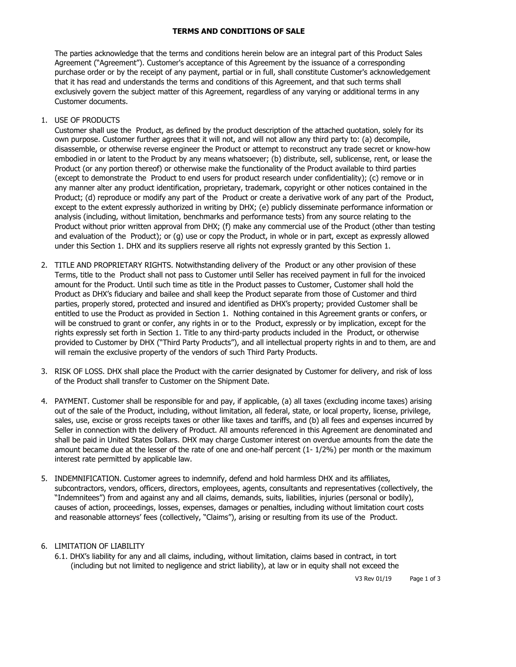## **TERMS AND CONDITIONS OF SALE**

The parties acknowledge that the terms and conditions herein below are an integral part of this Product Sales Agreement ("Agreement"). Customer's acceptance of this Agreement by the issuance of a corresponding purchase order or by the receipt of any payment, partial or in full, shall constitute Customer's acknowledgement that it has read and understands the terms and conditions of this Agreement, and that such terms shall exclusively govern the subject matter of this Agreement, regardless of any varying or additional terms in any Customer documents.

## 1. USE OF PRODUCTS

Customer shall use the Product, as defined by the product description of the attached quotation, solely for its own purpose. Customer further agrees that it will not, and will not allow any third party to: (a) decompile, disassemble, or otherwise reverse engineer the Product or attempt to reconstruct any trade secret or know-how embodied in or latent to the Product by any means whatsoever; (b) distribute, sell, sublicense, rent, or lease the Product (or any portion thereof) or otherwise make the functionality of the Product available to third parties (except to demonstrate the Product to end users for product research under confidentiality); (c) remove or in any manner alter any product identification, proprietary, trademark, copyright or other notices contained in the Product; (d) reproduce or modify any part of the Product or create a derivative work of any part of the Product, except to the extent expressly authorized in writing by DHX; (e) publicly disseminate performance information or analysis (including, without limitation, benchmarks and performance tests) from any source relating to the Product without prior written approval from DHX; (f) make any commercial use of the Product (other than testing and evaluation of the Product); or (g) use or copy the Product, in whole or in part, except as expressly allowed under this Section 1. DHX and its suppliers reserve all rights not expressly granted by this Section 1.

- 2. TITLE AND PROPRIETARY RIGHTS. Notwithstanding delivery of the Product or any other provision of these Terms, title to the Product shall not pass to Customer until Seller has received payment in full for the invoiced amount for the Product. Until such time as title in the Product passes to Customer, Customer shall hold the Product as DHX's fiduciary and bailee and shall keep the Product separate from those of Customer and third parties, properly stored, protected and insured and identified as DHX's property; provided Customer shall be entitled to use the Product as provided in Section 1. Nothing contained in this Agreement grants or confers, or will be construed to grant or confer, any rights in or to the Product, expressly or by implication, except for the rights expressly set forth in Section 1. Title to any third-party products included in the Product, or otherwise provided to Customer by DHX ("Third Party Products"), and all intellectual property rights in and to them, are and will remain the exclusive property of the vendors of such Third Party Products.
- 3. RISK OF LOSS. DHX shall place the Product with the carrier designated by Customer for delivery, and risk of loss of the Product shall transfer to Customer on the Shipment Date.
- 4. PAYMENT. Customer shall be responsible for and pay, if applicable, (a) all taxes (excluding income taxes) arising out of the sale of the Product, including, without limitation, all federal, state, or local property, license, privilege, sales, use, excise or gross receipts taxes or other like taxes and tariffs, and (b) all fees and expenses incurred by Seller in connection with the delivery of Product. All amounts referenced in this Agreement are denominated and shall be paid in United States Dollars. DHX may charge Customer interest on overdue amounts from the date the amount became due at the lesser of the rate of one and one-half percent (1- 1/2%) per month or the maximum interest rate permitted by applicable law.
- 5. INDEMNIFICATION. Customer agrees to indemnify, defend and hold harmless DHX and its affiliates, subcontractors, vendors, officers, directors, employees, agents, consultants and representatives (collectively, the "Indemnitees") from and against any and all claims, demands, suits, liabilities, injuries (personal or bodily), causes of action, proceedings, losses, expenses, damages or penalties, including without limitation court costs and reasonable attorneys' fees (collectively, "Claims"), arising or resulting from its use of the Product.

## 6. LIMITATION OF LIABILITY

6.1. DHX's liability for any and all claims, including, without limitation, claims based in contract, in tort (including but not limited to negligence and strict liability), at law or in equity shall not exceed the

V3 Rev 01/19 Page 1 of 3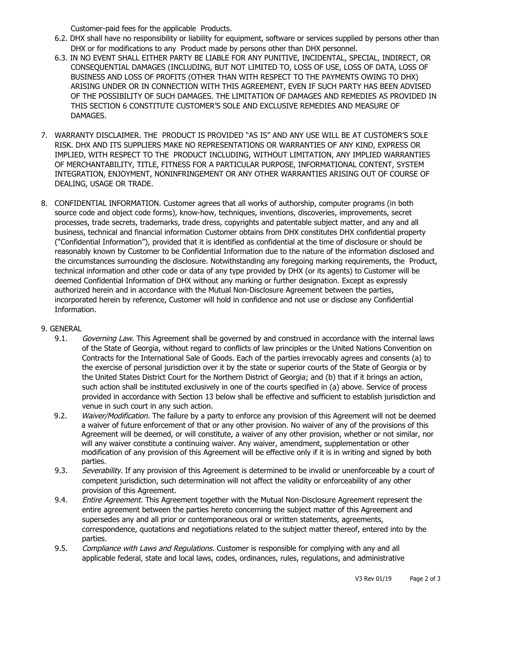Customer-paid fees for the applicable Products.

- 6.2. DHX shall have no responsibility or liability for equipment, software or services supplied by persons other than DHX or for modifications to any Product made by persons other than DHX personnel.
- 6.3. IN NO EVENT SHALL EITHER PARTY BE LIABLE FOR ANY PUNITIVE, INCIDENTAL, SPECIAL, INDIRECT, OR CONSEQUENTIAL DAMAGES (INCLUDING, BUT NOT LIMITED TO, LOSS OF USE, LOSS OF DATA, LOSS OF BUSINESS AND LOSS OF PROFITS (OTHER THAN WITH RESPECT TO THE PAYMENTS OWING TO DHX) ARISING UNDER OR IN CONNECTION WITH THIS AGREEMENT, EVEN IF SUCH PARTY HAS BEEN ADVISED OF THE POSSIBILITY OF SUCH DAMAGES. THE LIMITATION OF DAMAGES AND REMEDIES AS PROVIDED IN THIS SECTION 6 CONSTITUTE CUSTOMER'S SOLE AND EXCLUSIVE REMEDIES AND MEASURE OF DAMAGES.
- 7. WARRANTY DISCLAIMER. THE PRODUCT IS PROVIDED "AS IS" AND ANY USE WILL BE AT CUSTOMER'S SOLE RISK. DHX AND ITS SUPPLIERS MAKE NO REPRESENTATIONS OR WARRANTIES OF ANY KIND, EXPRESS OR IMPLIED, WITH RESPECT TO THE PRODUCT INCLUDING, WITHOUT LIMITATION, ANY IMPLIED WARRANTIES OF MERCHANTABILITY, TITLE, FITNESS FOR A PARTICULAR PURPOSE, INFORMATIONAL CONTENT, SYSTEM INTEGRATION, ENJOYMENT, NONINFRINGEMENT OR ANY OTHER WARRANTIES ARISING OUT OF COURSE OF DEALING, USAGE OR TRADE.
- 8. CONFIDENTIAL INFORMATION. Customer agrees that all works of authorship, computer programs (in both source code and object code forms), know-how, techniques, inventions, discoveries, improvements, secret processes, trade secrets, trademarks, trade dress, copyrights and patentable subject matter, and any and all business, technical and financial information Customer obtains from DHX constitutes DHX confidential property ("Confidential Information"), provided that it is identified as confidential at the time of disclosure or should be reasonably known by Customer to be Confidential Information due to the nature of the information disclosed and the circumstances surrounding the disclosure. Notwithstanding any foregoing marking requirements, the Product, technical information and other code or data of any type provided by DHX (or its agents) to Customer will be deemed Confidential Information of DHX without any marking or further designation. Except as expressly authorized herein and in accordance with the Mutual Non-Disclosure Agreement between the parties, incorporated herein by reference, Customer will hold in confidence and not use or disclose any Confidential Information.

## 9. GENERAL

- 9.1. Governing Law. This Agreement shall be governed by and construed in accordance with the internal laws of the State of Georgia, without regard to conflicts of law principles or the United Nations Convention on Contracts for the International Sale of Goods. Each of the parties irrevocably agrees and consents (a) to the exercise of personal jurisdiction over it by the state or superior courts of the State of Georgia or by the United States District Court for the Northern District of Georgia; and (b) that if it brings an action, such action shall be instituted exclusively in one of the courts specified in (a) above. Service of process provided in accordance with Section 13 below shall be effective and sufficient to establish jurisdiction and venue in such court in any such action.
- 9.2. Waiver/Modification. The failure by a party to enforce any provision of this Agreement will not be deemed a waiver of future enforcement of that or any other provision. No waiver of any of the provisions of this Agreement will be deemed, or will constitute, a waiver of any other provision, whether or not similar, nor will any waiver constitute a continuing waiver. Any waiver, amendment, supplementation or other modification of any provision of this Agreement will be effective only if it is in writing and signed by both parties.
- 9.3. Severability. If any provision of this Agreement is determined to be invalid or unenforceable by a court of competent jurisdiction, such determination will not affect the validity or enforceability of any other provision of this Agreement.
- 9.4. Entire Agreement. This Agreement together with the Mutual Non-Disclosure Agreement represent the entire agreement between the parties hereto concerning the subject matter of this Agreement and supersedes any and all prior or contemporaneous oral or written statements, agreements, correspondence, quotations and negotiations related to the subject matter thereof, entered into by the parties.
- 9.5. Compliance with Laws and Regulations. Customer is responsible for complying with any and all applicable federal, state and local laws, codes, ordinances, rules, regulations, and administrative